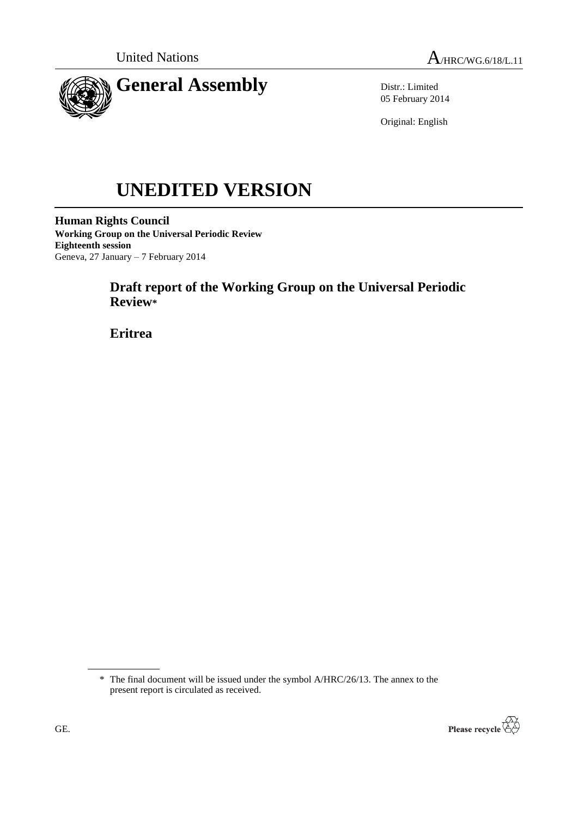



Distr.: Limited 05 February 2014

Original: English

# **UNEDITED VERSION**

**Human Rights Council Working Group on the Universal Periodic Review Eighteenth session** Geneva, 27 January – 7 February 2014

# **Draft report of the Working Group on the Universal Periodic Review\***

**Eritrea**

<sup>\*</sup> The final document will be issued under the symbol A/HRC/26/13. The annex to the present report is circulated as received.

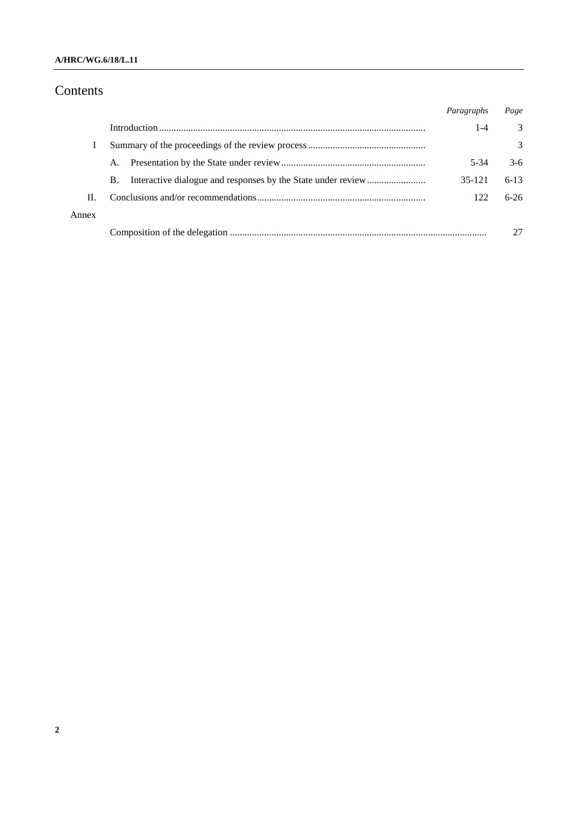## **A/HRC/WG.6/18/L.11**

# Contents

|       |    | Paragraphs | Page          |
|-------|----|------------|---------------|
|       |    | 1-4        | 3             |
|       |    |            | $\mathcal{E}$ |
|       | A. | $5-34$     | $3-6$         |
|       | B. | 35-121     | $6-13$        |
| Н.    |    | 122        | $6-26$        |
| Annex |    |            |               |
|       |    |            |               |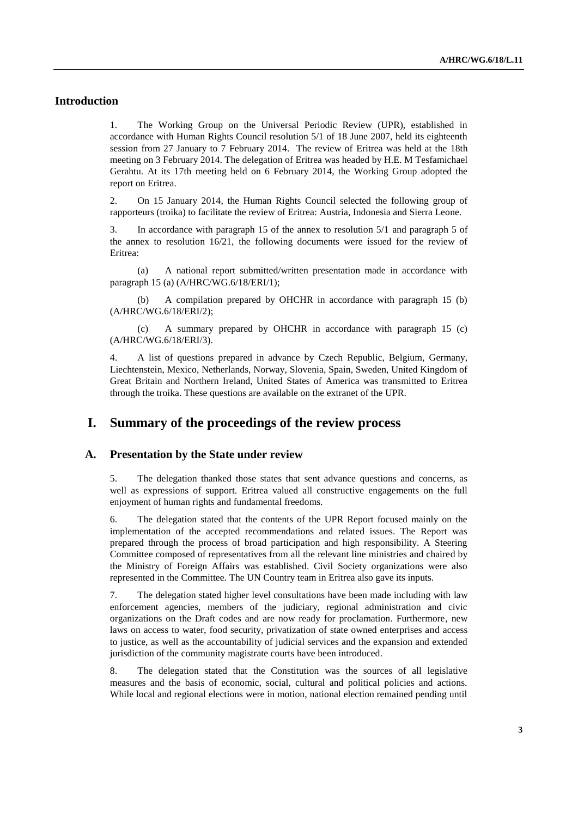## **Introduction**

1. The Working Group on the Universal Periodic Review (UPR), established in accordance with Human Rights Council resolution 5/1 of 18 June 2007, held its eighteenth session from 27 January to 7 February 2014. The review of Eritrea was held at the 18th meeting on 3 February 2014. The delegation of Eritrea was headed by H.E. M Tesfamichael Gerahtu. At its 17th meeting held on 6 February 2014, the Working Group adopted the report on Eritrea.

2. On 15 January 2014, the Human Rights Council selected the following group of rapporteurs (troika) to facilitate the review of Eritrea: Austria, Indonesia and Sierra Leone.

3. In accordance with paragraph 15 of the annex to resolution 5/1 and paragraph 5 of the annex to resolution 16/21, the following documents were issued for the review of Eritrea:

(a) A national report submitted/written presentation made in accordance with paragraph 15 (a) (A/HRC/WG.6/18/ERI/1);

(b) A compilation prepared by OHCHR in accordance with paragraph 15 (b) (A/HRC/WG.6/18/ERI/2);

(c) A summary prepared by OHCHR in accordance with paragraph 15 (c) (A/HRC/WG.6/18/ERI/3).

4. A list of questions prepared in advance by Czech Republic, Belgium, Germany, Liechtenstein, Mexico, Netherlands, Norway, Slovenia, Spain, Sweden, United Kingdom of Great Britain and Northern Ireland, United States of America was transmitted to Eritrea through the troika. These questions are available on the extranet of the UPR.

# **I. Summary of the proceedings of the review process**

#### **A. Presentation by the State under review**

5. The delegation thanked those states that sent advance questions and concerns, as well as expressions of support. Eritrea valued all constructive engagements on the full enjoyment of human rights and fundamental freedoms.

6. The delegation stated that the contents of the UPR Report focused mainly on the implementation of the accepted recommendations and related issues. The Report was prepared through the process of broad participation and high responsibility. A Steering Committee composed of representatives from all the relevant line ministries and chaired by the Ministry of Foreign Affairs was established. Civil Society organizations were also represented in the Committee. The UN Country team in Eritrea also gave its inputs.

7. The delegation stated higher level consultations have been made including with law enforcement agencies, members of the judiciary, regional administration and civic organizations on the Draft codes and are now ready for proclamation. Furthermore, new laws on access to water, food security, privatization of state owned enterprises and access to justice, as well as the accountability of judicial services and the expansion and extended jurisdiction of the community magistrate courts have been introduced.

8. The delegation stated that the Constitution was the sources of all legislative measures and the basis of economic, social, cultural and political policies and actions. While local and regional elections were in motion, national election remained pending until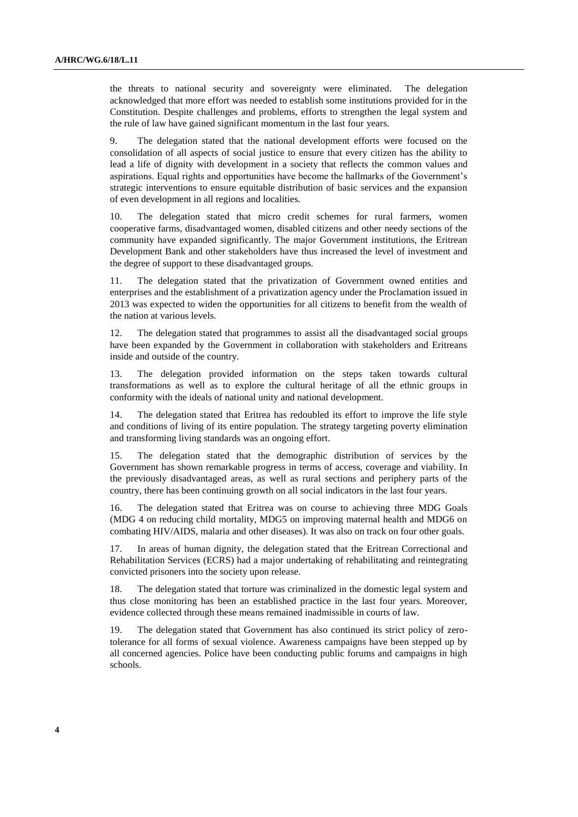the threats to national security and sovereignty were eliminated. The delegation acknowledged that more effort was needed to establish some institutions provided for in the Constitution. Despite challenges and problems, efforts to strengthen the legal system and the rule of law have gained significant momentum in the last four years.

9. The delegation stated that the national development efforts were focused on the consolidation of all aspects of social justice to ensure that every citizen has the ability to lead a life of dignity with development in a society that reflects the common values and aspirations. Equal rights and opportunities have become the hallmarks of the Government's strategic interventions to ensure equitable distribution of basic services and the expansion of even development in all regions and localities.

10. The delegation stated that micro credit schemes for rural farmers, women cooperative farms, disadvantaged women, disabled citizens and other needy sections of the community have expanded significantly. The major Government institutions, the Eritrean Development Bank and other stakeholders have thus increased the level of investment and the degree of support to these disadvantaged groups.

11. The delegation stated that the privatization of Government owned entities and enterprises and the establishment of a privatization agency under the Proclamation issued in 2013 was expected to widen the opportunities for all citizens to benefit from the wealth of the nation at various levels.

12. The delegation stated that programmes to assist all the disadvantaged social groups have been expanded by the Government in collaboration with stakeholders and Eritreans inside and outside of the country.

13. The delegation provided information on the steps taken towards cultural transformations as well as to explore the cultural heritage of all the ethnic groups in conformity with the ideals of national unity and national development.

14. The delegation stated that Eritrea has redoubled its effort to improve the life style and conditions of living of its entire population. The strategy targeting poverty elimination and transforming living standards was an ongoing effort.

15. The delegation stated that the demographic distribution of services by the Government has shown remarkable progress in terms of access, coverage and viability. In the previously disadvantaged areas, as well as rural sections and periphery parts of the country, there has been continuing growth on all social indicators in the last four years.

16. The delegation stated that Eritrea was on course to achieving three MDG Goals (MDG 4 on reducing child mortality, MDG5 on improving maternal health and MDG6 on combating HIV/AIDS, malaria and other diseases). It was also on track on four other goals.

17. In areas of human dignity, the delegation stated that the Eritrean Correctional and Rehabilitation Services (ECRS) had a major undertaking of rehabilitating and reintegrating convicted prisoners into the society upon release.

18. The delegation stated that torture was criminalized in the domestic legal system and thus close monitoring has been an established practice in the last four years. Moreover, evidence collected through these means remained inadmissible in courts of law.

19. The delegation stated that Government has also continued its strict policy of zerotolerance for all forms of sexual violence. Awareness campaigns have been stepped up by all concerned agencies. Police have been conducting public forums and campaigns in high schools.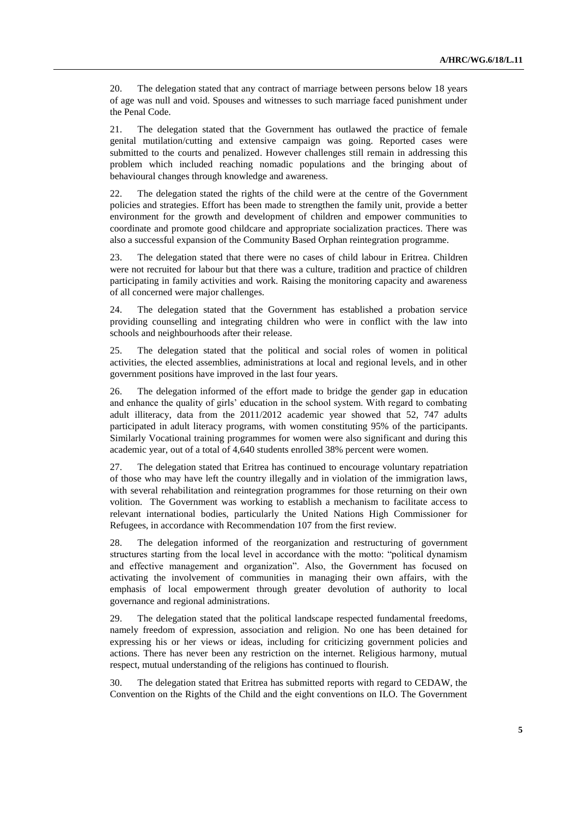20. The delegation stated that any contract of marriage between persons below 18 years of age was null and void. Spouses and witnesses to such marriage faced punishment under the Penal Code.

21. The delegation stated that the Government has outlawed the practice of female genital mutilation/cutting and extensive campaign was going. Reported cases were submitted to the courts and penalized. However challenges still remain in addressing this problem which included reaching nomadic populations and the bringing about of behavioural changes through knowledge and awareness.

22. The delegation stated the rights of the child were at the centre of the Government policies and strategies. Effort has been made to strengthen the family unit, provide a better environment for the growth and development of children and empower communities to coordinate and promote good childcare and appropriate socialization practices. There was also a successful expansion of the Community Based Orphan reintegration programme.

23. The delegation stated that there were no cases of child labour in Eritrea. Children were not recruited for labour but that there was a culture, tradition and practice of children participating in family activities and work. Raising the monitoring capacity and awareness of all concerned were major challenges.

24. The delegation stated that the Government has established a probation service providing counselling and integrating children who were in conflict with the law into schools and neighbourhoods after their release.

25. The delegation stated that the political and social roles of women in political activities, the elected assemblies, administrations at local and regional levels, and in other government positions have improved in the last four years.

26. The delegation informed of the effort made to bridge the gender gap in education and enhance the quality of girls' education in the school system. With regard to combating adult illiteracy, data from the 2011/2012 academic year showed that 52, 747 adults participated in adult literacy programs, with women constituting 95% of the participants. Similarly Vocational training programmes for women were also significant and during this academic year, out of a total of 4,640 students enrolled 38% percent were women.

27. The delegation stated that Eritrea has continued to encourage voluntary repatriation of those who may have left the country illegally and in violation of the immigration laws, with several rehabilitation and reintegration programmes for those returning on their own volition. The Government was working to establish a mechanism to facilitate access to relevant international bodies, particularly the United Nations High Commissioner for Refugees, in accordance with Recommendation 107 from the first review.

28. The delegation informed of the reorganization and restructuring of government structures starting from the local level in accordance with the motto: "political dynamism and effective management and organization". Also, the Government has focused on activating the involvement of communities in managing their own affairs, with the emphasis of local empowerment through greater devolution of authority to local governance and regional administrations.

29. The delegation stated that the political landscape respected fundamental freedoms, namely freedom of expression, association and religion. No one has been detained for expressing his or her views or ideas, including for criticizing government policies and actions. There has never been any restriction on the internet. Religious harmony, mutual respect, mutual understanding of the religions has continued to flourish.

30. The delegation stated that Eritrea has submitted reports with regard to CEDAW, the Convention on the Rights of the Child and the eight conventions on ILO. The Government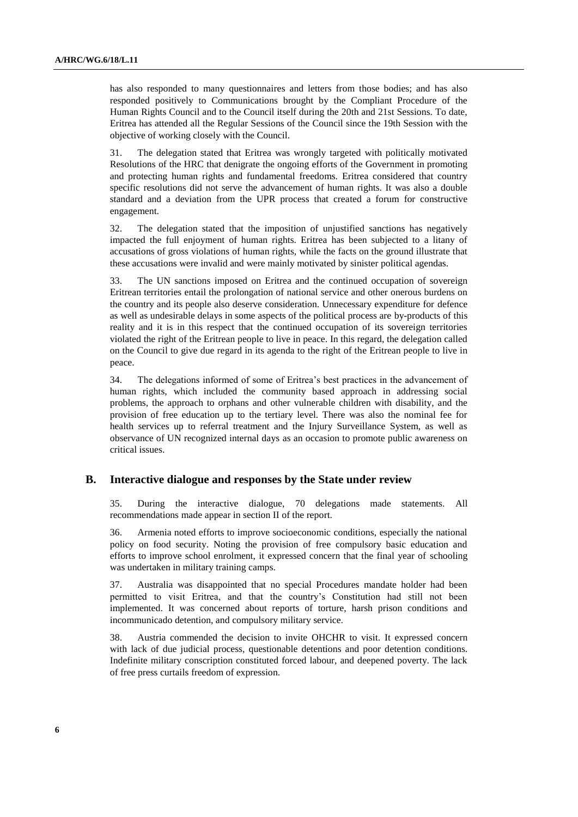has also responded to many questionnaires and letters from those bodies; and has also responded positively to Communications brought by the Compliant Procedure of the Human Rights Council and to the Council itself during the 20th and 21st Sessions. To date, Eritrea has attended all the Regular Sessions of the Council since the 19th Session with the objective of working closely with the Council.

31. The delegation stated that Eritrea was wrongly targeted with politically motivated Resolutions of the HRC that denigrate the ongoing efforts of the Government in promoting and protecting human rights and fundamental freedoms. Eritrea considered that country specific resolutions did not serve the advancement of human rights. It was also a double standard and a deviation from the UPR process that created a forum for constructive engagement.

32. The delegation stated that the imposition of unjustified sanctions has negatively impacted the full enjoyment of human rights. Eritrea has been subjected to a litany of accusations of gross violations of human rights, while the facts on the ground illustrate that these accusations were invalid and were mainly motivated by sinister political agendas.

33. The UN sanctions imposed on Eritrea and the continued occupation of sovereign Eritrean territories entail the prolongation of national service and other onerous burdens on the country and its people also deserve consideration. Unnecessary expenditure for defence as well as undesirable delays in some aspects of the political process are by-products of this reality and it is in this respect that the continued occupation of its sovereign territories violated the right of the Eritrean people to live in peace. In this regard, the delegation called on the Council to give due regard in its agenda to the right of the Eritrean people to live in peace.

34. The delegations informed of some of Eritrea's best practices in the advancement of human rights, which included the community based approach in addressing social problems, the approach to orphans and other vulnerable children with disability, and the provision of free education up to the tertiary level. There was also the nominal fee for health services up to referral treatment and the Injury Surveillance System, as well as observance of UN recognized internal days as an occasion to promote public awareness on critical issues.

#### **B. Interactive dialogue and responses by the State under review**

35. During the interactive dialogue, 70 delegations made statements. All recommendations made appear in section II of the report.

36. Armenia noted efforts to improve socioeconomic conditions, especially the national policy on food security. Noting the provision of free compulsory basic education and efforts to improve school enrolment, it expressed concern that the final year of schooling was undertaken in military training camps.

37. Australia was disappointed that no special Procedures mandate holder had been permitted to visit Eritrea, and that the country's Constitution had still not been implemented. It was concerned about reports of torture, harsh prison conditions and incommunicado detention, and compulsory military service.

38. Austria commended the decision to invite OHCHR to visit. It expressed concern with lack of due judicial process, questionable detentions and poor detention conditions. Indefinite military conscription constituted forced labour, and deepened poverty. The lack of free press curtails freedom of expression.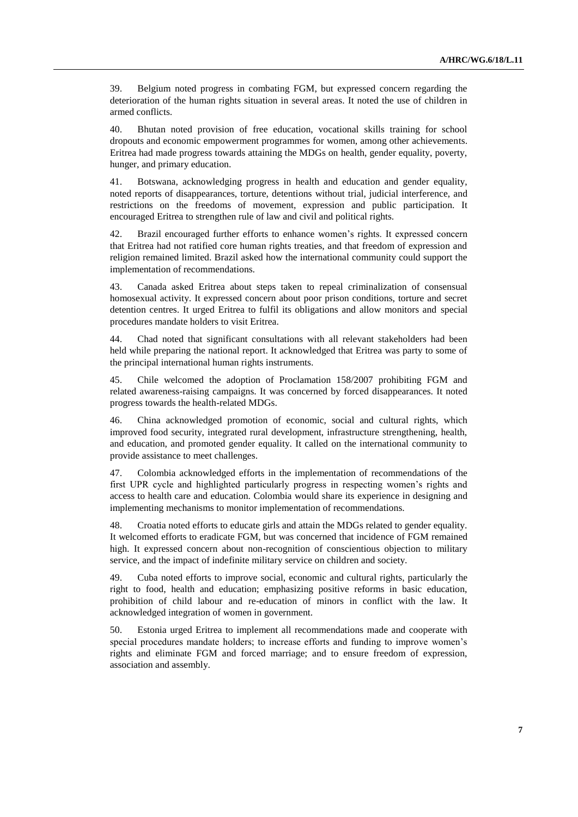39. Belgium noted progress in combating FGM, but expressed concern regarding the deterioration of the human rights situation in several areas. It noted the use of children in armed conflicts.

40. Bhutan noted provision of free education, vocational skills training for school dropouts and economic empowerment programmes for women, among other achievements. Eritrea had made progress towards attaining the MDGs on health, gender equality, poverty, hunger, and primary education.

41. Botswana, acknowledging progress in health and education and gender equality, noted reports of disappearances, torture, detentions without trial, judicial interference, and restrictions on the freedoms of movement, expression and public participation. It encouraged Eritrea to strengthen rule of law and civil and political rights.

42. Brazil encouraged further efforts to enhance women's rights. It expressed concern that Eritrea had not ratified core human rights treaties, and that freedom of expression and religion remained limited. Brazil asked how the international community could support the implementation of recommendations.

43. Canada asked Eritrea about steps taken to repeal criminalization of consensual homosexual activity. It expressed concern about poor prison conditions, torture and secret detention centres. It urged Eritrea to fulfil its obligations and allow monitors and special procedures mandate holders to visit Eritrea.

44. Chad noted that significant consultations with all relevant stakeholders had been held while preparing the national report. It acknowledged that Eritrea was party to some of the principal international human rights instruments.

45. Chile welcomed the adoption of Proclamation 158/2007 prohibiting FGM and related awareness-raising campaigns. It was concerned by forced disappearances. It noted progress towards the health-related MDGs.

46. China acknowledged promotion of economic, social and cultural rights, which improved food security, integrated rural development, infrastructure strengthening, health, and education, and promoted gender equality. It called on the international community to provide assistance to meet challenges.

47. Colombia acknowledged efforts in the implementation of recommendations of the first UPR cycle and highlighted particularly progress in respecting women's rights and access to health care and education. Colombia would share its experience in designing and implementing mechanisms to monitor implementation of recommendations.

48. Croatia noted efforts to educate girls and attain the MDGs related to gender equality. It welcomed efforts to eradicate FGM, but was concerned that incidence of FGM remained high. It expressed concern about non-recognition of conscientious objection to military service, and the impact of indefinite military service on children and society.

49. Cuba noted efforts to improve social, economic and cultural rights, particularly the right to food, health and education; emphasizing positive reforms in basic education, prohibition of child labour and re-education of minors in conflict with the law. It acknowledged integration of women in government.

50. Estonia urged Eritrea to implement all recommendations made and cooperate with special procedures mandate holders; to increase efforts and funding to improve women's rights and eliminate FGM and forced marriage; and to ensure freedom of expression, association and assembly.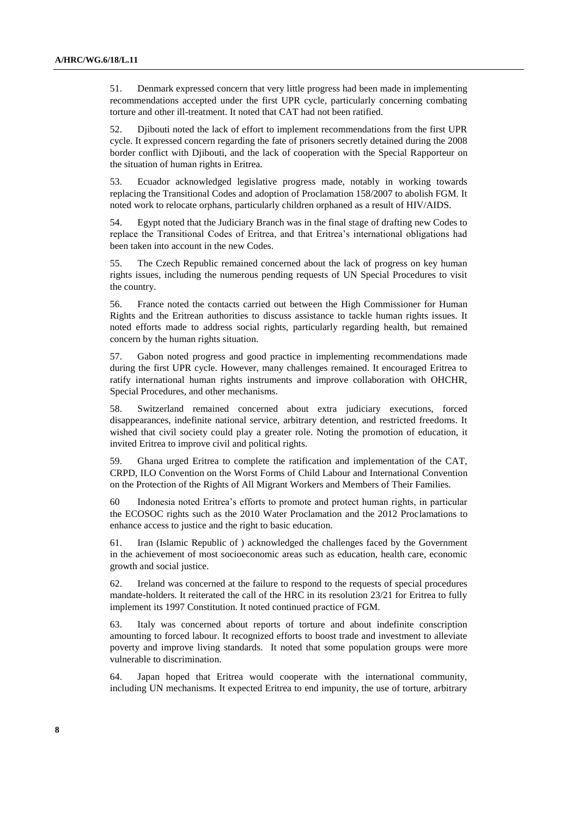51. Denmark expressed concern that very little progress had been made in implementing recommendations accepted under the first UPR cycle, particularly concerning combating torture and other ill-treatment. It noted that CAT had not been ratified.

52. Djibouti noted the lack of effort to implement recommendations from the first UPR cycle. It expressed concern regarding the fate of prisoners secretly detained during the 2008 border conflict with Djibouti, and the lack of cooperation with the Special Rapporteur on the situation of human rights in Eritrea.

53. Ecuador acknowledged legislative progress made, notably in working towards replacing the Transitional Codes and adoption of Proclamation 158/2007 to abolish FGM. It noted work to relocate orphans, particularly children orphaned as a result of HIV/AIDS.

54. Egypt noted that the Judiciary Branch was in the final stage of drafting new Codes to replace the Transitional Codes of Eritrea, and that Eritrea's international obligations had been taken into account in the new Codes.

55. The Czech Republic remained concerned about the lack of progress on key human rights issues, including the numerous pending requests of UN Special Procedures to visit the country.

56. France noted the contacts carried out between the High Commissioner for Human Rights and the Eritrean authorities to discuss assistance to tackle human rights issues. It noted efforts made to address social rights, particularly regarding health, but remained concern by the human rights situation.

57. Gabon noted progress and good practice in implementing recommendations made during the first UPR cycle. However, many challenges remained. It encouraged Eritrea to ratify international human rights instruments and improve collaboration with OHCHR, Special Procedures, and other mechanisms.

58. Switzerland remained concerned about extra judiciary executions, forced disappearances, indefinite national service, arbitrary detention, and restricted freedoms. It wished that civil society could play a greater role. Noting the promotion of education, it invited Eritrea to improve civil and political rights.

59. Ghana urged Eritrea to complete the ratification and implementation of the CAT, CRPD, ILO Convention on the Worst Forms of Child Labour and International Convention on the Protection of the Rights of All Migrant Workers and Members of Their Families.

60 Indonesia noted Eritrea's efforts to promote and protect human rights, in particular the ECOSOC rights such as the 2010 Water Proclamation and the 2012 Proclamations to enhance access to justice and the right to basic education.

61. Iran (Islamic Republic of ) acknowledged the challenges faced by the Government in the achievement of most socioeconomic areas such as education, health care, economic growth and social justice.

62. Ireland was concerned at the failure to respond to the requests of special procedures mandate-holders. It reiterated the call of the HRC in its resolution 23/21 for Eritrea to fully implement its 1997 Constitution. It noted continued practice of FGM.

63. Italy was concerned about reports of torture and about indefinite conscription amounting to forced labour. It recognized efforts to boost trade and investment to alleviate poverty and improve living standards. It noted that some population groups were more vulnerable to discrimination.

64. Japan hoped that Eritrea would cooperate with the international community, including UN mechanisms. It expected Eritrea to end impunity, the use of torture, arbitrary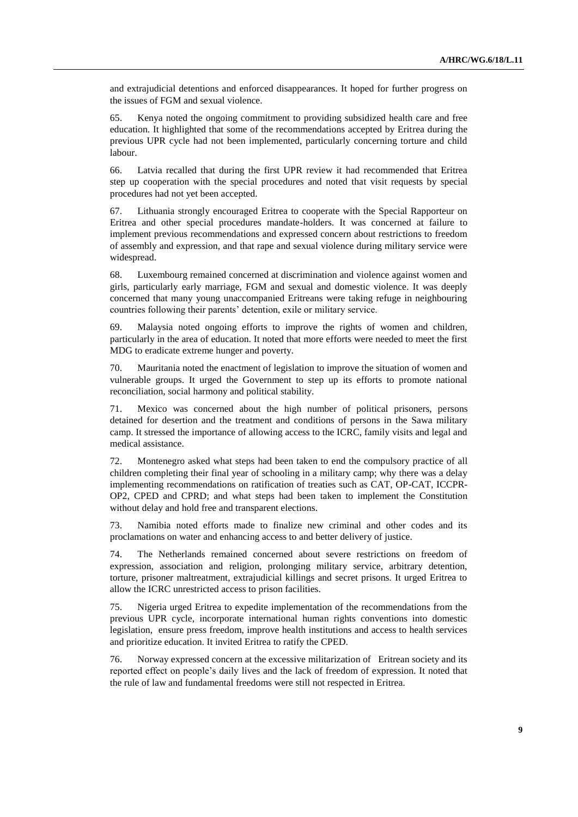and extrajudicial detentions and enforced disappearances. It hoped for further progress on the issues of FGM and sexual violence.

65. Kenya noted the ongoing commitment to providing subsidized health care and free education. It highlighted that some of the recommendations accepted by Eritrea during the previous UPR cycle had not been implemented, particularly concerning torture and child labour.

66. Latvia recalled that during the first UPR review it had recommended that Eritrea step up cooperation with the special procedures and noted that visit requests by special procedures had not yet been accepted.

67. Lithuania strongly encouraged Eritrea to cooperate with the Special Rapporteur on Eritrea and other special procedures mandate-holders. It was concerned at failure to implement previous recommendations and expressed concern about restrictions to freedom of assembly and expression, and that rape and sexual violence during military service were widespread.

68. Luxembourg remained concerned at discrimination and violence against women and girls, particularly early marriage, FGM and sexual and domestic violence. It was deeply concerned that many young unaccompanied Eritreans were taking refuge in neighbouring countries following their parents' detention, exile or military service.

69. Malaysia noted ongoing efforts to improve the rights of women and children, particularly in the area of education. It noted that more efforts were needed to meet the first MDG to eradicate extreme hunger and poverty.

70. Mauritania noted the enactment of legislation to improve the situation of women and vulnerable groups. It urged the Government to step up its efforts to promote national reconciliation, social harmony and political stability.

71. Mexico was concerned about the high number of political prisoners, persons detained for desertion and the treatment and conditions of persons in the Sawa military camp. It stressed the importance of allowing access to the ICRC, family visits and legal and medical assistance.

72. Montenegro asked what steps had been taken to end the compulsory practice of all children completing their final year of schooling in a military camp; why there was a delay implementing recommendations on ratification of treaties such as CAT, OP-CAT, ICCPR-OP2, CPED and CPRD; and what steps had been taken to implement the Constitution without delay and hold free and transparent elections.

73. Namibia noted efforts made to finalize new criminal and other codes and its proclamations on water and enhancing access to and better delivery of justice.

74. The Netherlands remained concerned about severe restrictions on freedom of expression, association and religion, prolonging military service, arbitrary detention, torture, prisoner maltreatment, extrajudicial killings and secret prisons. It urged Eritrea to allow the ICRC unrestricted access to prison facilities.

75. Nigeria urged Eritrea to expedite implementation of the recommendations from the previous UPR cycle, incorporate international human rights conventions into domestic legislation, ensure press freedom, improve health institutions and access to health services and prioritize education. It invited Eritrea to ratify the CPED.

76. Norway expressed concern at the excessive militarization of Eritrean society and its reported effect on people's daily lives and the lack of freedom of expression. It noted that the rule of law and fundamental freedoms were still not respected in Eritrea.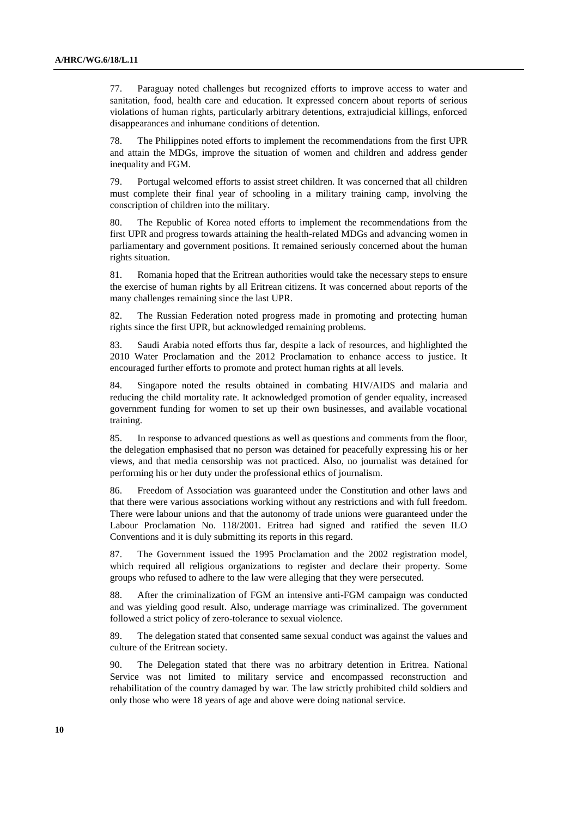77. Paraguay noted challenges but recognized efforts to improve access to water and sanitation, food, health care and education. It expressed concern about reports of serious violations of human rights, particularly arbitrary detentions, extrajudicial killings, enforced disappearances and inhumane conditions of detention.

78. The Philippines noted efforts to implement the recommendations from the first UPR and attain the MDGs, improve the situation of women and children and address gender inequality and FGM.

79. Portugal welcomed efforts to assist street children. It was concerned that all children must complete their final year of schooling in a military training camp, involving the conscription of children into the military.

80. The Republic of Korea noted efforts to implement the recommendations from the first UPR and progress towards attaining the health-related MDGs and advancing women in parliamentary and government positions. It remained seriously concerned about the human rights situation.

81. Romania hoped that the Eritrean authorities would take the necessary steps to ensure the exercise of human rights by all Eritrean citizens. It was concerned about reports of the many challenges remaining since the last UPR.

82. The Russian Federation noted progress made in promoting and protecting human rights since the first UPR, but acknowledged remaining problems.

83. Saudi Arabia noted efforts thus far, despite a lack of resources, and highlighted the 2010 Water Proclamation and the 2012 Proclamation to enhance access to justice. It encouraged further efforts to promote and protect human rights at all levels.

84. Singapore noted the results obtained in combating HIV/AIDS and malaria and reducing the child mortality rate. It acknowledged promotion of gender equality, increased government funding for women to set up their own businesses, and available vocational training.

85. In response to advanced questions as well as questions and comments from the floor, the delegation emphasised that no person was detained for peacefully expressing his or her views, and that media censorship was not practiced. Also, no journalist was detained for performing his or her duty under the professional ethics of journalism.

86. Freedom of Association was guaranteed under the Constitution and other laws and that there were various associations working without any restrictions and with full freedom. There were labour unions and that the autonomy of trade unions were guaranteed under the Labour Proclamation No. 118/2001. Eritrea had signed and ratified the seven ILO Conventions and it is duly submitting its reports in this regard.

87. The Government issued the 1995 Proclamation and the 2002 registration model, which required all religious organizations to register and declare their property. Some groups who refused to adhere to the law were alleging that they were persecuted.

88. After the criminalization of FGM an intensive anti-FGM campaign was conducted and was yielding good result. Also, underage marriage was criminalized. The government followed a strict policy of zero-tolerance to sexual violence.

89. The delegation stated that consented same sexual conduct was against the values and culture of the Eritrean society.

90. The Delegation stated that there was no arbitrary detention in Eritrea. National Service was not limited to military service and encompassed reconstruction and rehabilitation of the country damaged by war. The law strictly prohibited child soldiers and only those who were 18 years of age and above were doing national service.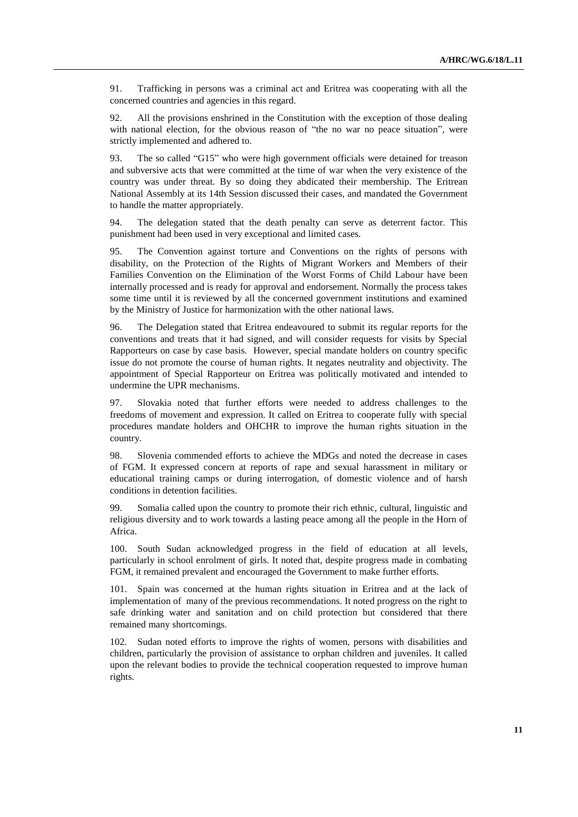91. Trafficking in persons was a criminal act and Eritrea was cooperating with all the concerned countries and agencies in this regard.

92. All the provisions enshrined in the Constitution with the exception of those dealing with national election, for the obvious reason of "the no war no peace situation", were strictly implemented and adhered to.

93. The so called "G15" who were high government officials were detained for treason and subversive acts that were committed at the time of war when the very existence of the country was under threat. By so doing they abdicated their membership. The Eritrean National Assembly at its 14th Session discussed their cases, and mandated the Government to handle the matter appropriately.

94. The delegation stated that the death penalty can serve as deterrent factor. This punishment had been used in very exceptional and limited cases.

95. The Convention against torture and Conventions on the rights of persons with disability, on the Protection of the Rights of Migrant Workers and Members of their Families Convention on the Elimination of the Worst Forms of Child Labour have been internally processed and is ready for approval and endorsement. Normally the process takes some time until it is reviewed by all the concerned government institutions and examined by the Ministry of Justice for harmonization with the other national laws.

96. The Delegation stated that Eritrea endeavoured to submit its regular reports for the conventions and treats that it had signed, and will consider requests for visits by Special Rapporteurs on case by case basis. However, special mandate holders on country specific issue do not promote the course of human rights. It negates neutrality and objectivity. The appointment of Special Rapporteur on Eritrea was politically motivated and intended to undermine the UPR mechanisms.

97. Slovakia noted that further efforts were needed to address challenges to the freedoms of movement and expression. It called on Eritrea to cooperate fully with special procedures mandate holders and OHCHR to improve the human rights situation in the country.

98. Slovenia commended efforts to achieve the MDGs and noted the decrease in cases of FGM. It expressed concern at reports of rape and sexual harassment in military or educational training camps or during interrogation, of domestic violence and of harsh conditions in detention facilities.

99. Somalia called upon the country to promote their rich ethnic, cultural, linguistic and religious diversity and to work towards a lasting peace among all the people in the Horn of Africa.

100. South Sudan acknowledged progress in the field of education at all levels, particularly in school enrolment of girls. It noted that, despite progress made in combating FGM, it remained prevalent and encouraged the Government to make further efforts.

101. Spain was concerned at the human rights situation in Eritrea and at the lack of implementation of many of the previous recommendations. It noted progress on the right to safe drinking water and sanitation and on child protection but considered that there remained many shortcomings.

102. Sudan noted efforts to improve the rights of women, persons with disabilities and children, particularly the provision of assistance to orphan children and juveniles. It called upon the relevant bodies to provide the technical cooperation requested to improve human rights.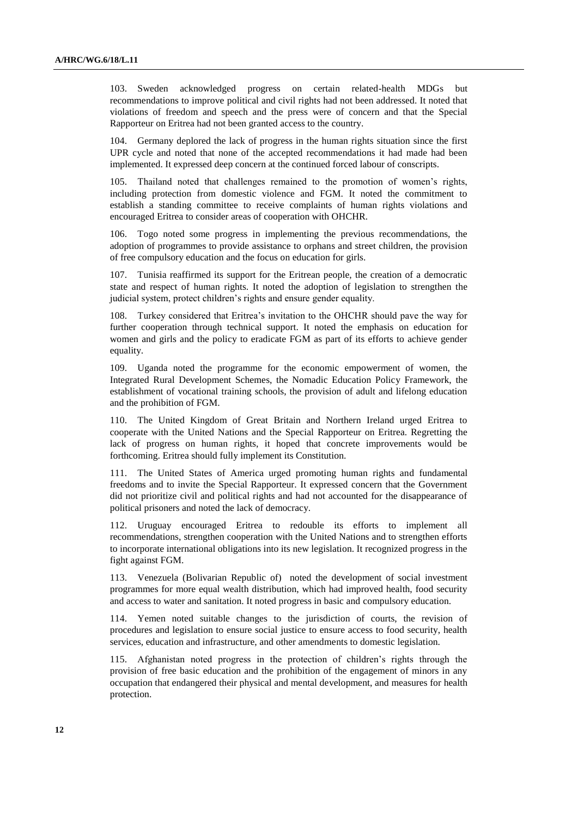103. Sweden acknowledged progress on certain related-health MDGs but recommendations to improve political and civil rights had not been addressed. It noted that violations of freedom and speech and the press were of concern and that the Special Rapporteur on Eritrea had not been granted access to the country.

104. Germany deplored the lack of progress in the human rights situation since the first UPR cycle and noted that none of the accepted recommendations it had made had been implemented. It expressed deep concern at the continued forced labour of conscripts.

105. Thailand noted that challenges remained to the promotion of women's rights, including protection from domestic violence and FGM. It noted the commitment to establish a standing committee to receive complaints of human rights violations and encouraged Eritrea to consider areas of cooperation with OHCHR.

106. Togo noted some progress in implementing the previous recommendations, the adoption of programmes to provide assistance to orphans and street children, the provision of free compulsory education and the focus on education for girls.

107. Tunisia reaffirmed its support for the Eritrean people, the creation of a democratic state and respect of human rights. It noted the adoption of legislation to strengthen the judicial system, protect children's rights and ensure gender equality.

108. Turkey considered that Eritrea's invitation to the OHCHR should pave the way for further cooperation through technical support. It noted the emphasis on education for women and girls and the policy to eradicate FGM as part of its efforts to achieve gender equality.

109. Uganda noted the programme for the economic empowerment of women, the Integrated Rural Development Schemes, the Nomadic Education Policy Framework, the establishment of vocational training schools, the provision of adult and lifelong education and the prohibition of FGM.

110. The United Kingdom of Great Britain and Northern Ireland urged Eritrea to cooperate with the United Nations and the Special Rapporteur on Eritrea. Regretting the lack of progress on human rights, it hoped that concrete improvements would be forthcoming. Eritrea should fully implement its Constitution.

111. The United States of America urged promoting human rights and fundamental freedoms and to invite the Special Rapporteur. It expressed concern that the Government did not prioritize civil and political rights and had not accounted for the disappearance of political prisoners and noted the lack of democracy.

112. Uruguay encouraged Eritrea to redouble its efforts to implement all recommendations, strengthen cooperation with the United Nations and to strengthen efforts to incorporate international obligations into its new legislation. It recognized progress in the fight against FGM.

113. Venezuela (Bolivarian Republic of) noted the development of social investment programmes for more equal wealth distribution, which had improved health, food security and access to water and sanitation. It noted progress in basic and compulsory education.

114. Yemen noted suitable changes to the jurisdiction of courts, the revision of procedures and legislation to ensure social justice to ensure access to food security, health services, education and infrastructure, and other amendments to domestic legislation.

115. Afghanistan noted progress in the protection of children's rights through the provision of free basic education and the prohibition of the engagement of minors in any occupation that endangered their physical and mental development, and measures for health protection.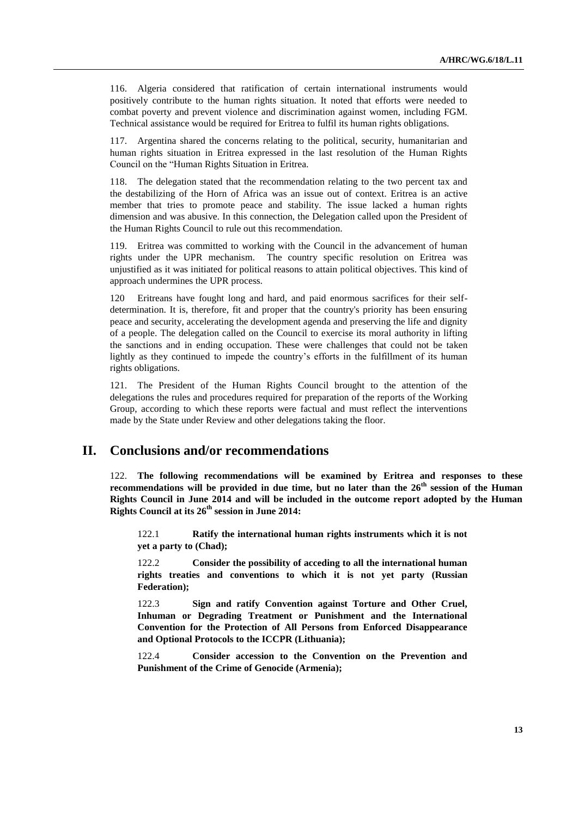116. Algeria considered that ratification of certain international instruments would positively contribute to the human rights situation. It noted that efforts were needed to combat poverty and prevent violence and discrimination against women, including FGM. Technical assistance would be required for Eritrea to fulfil its human rights obligations.

117. Argentina shared the concerns relating to the political, security, humanitarian and human rights situation in Eritrea expressed in the last resolution of the Human Rights Council on the "Human Rights Situation in Eritrea.

118. The delegation stated that the recommendation relating to the two percent tax and the destabilizing of the Horn of Africa was an issue out of context. Eritrea is an active member that tries to promote peace and stability. The issue lacked a human rights dimension and was abusive. In this connection, the Delegation called upon the President of the Human Rights Council to rule out this recommendation.

119. Eritrea was committed to working with the Council in the advancement of human rights under the UPR mechanism. The country specific resolution on Eritrea was unjustified as it was initiated for political reasons to attain political objectives. This kind of approach undermines the UPR process.

120 Eritreans have fought long and hard, and paid enormous sacrifices for their selfdetermination. It is, therefore, fit and proper that the country's priority has been ensuring peace and security, accelerating the development agenda and preserving the life and dignity of a people. The delegation called on the Council to exercise its moral authority in lifting the sanctions and in ending occupation. These were challenges that could not be taken lightly as they continued to impede the country's efforts in the fulfillment of its human rights obligations.

121. The President of the Human Rights Council brought to the attention of the delegations the rules and procedures required for preparation of the reports of the Working Group, according to which these reports were factual and must reflect the interventions made by the State under Review and other delegations taking the floor.

# **II. Conclusions and/or recommendations**

122. **The following recommendations will be examined by Eritrea and responses to these recommendations will be provided in due time, but no later than the 26th session of the Human Rights Council in June 2014 and will be included in the outcome report adopted by the Human Rights Council at its 26th session in June 2014:** 

122.1 **Ratify the international human rights instruments which it is not yet a party to (Chad);**

122.2 **Consider the possibility of acceding to all the international human rights treaties and conventions to which it is not yet party (Russian Federation);**

122.3 **Sign and ratify Convention against Torture and Other Cruel, Inhuman or Degrading Treatment or Punishment and the International Convention for the Protection of All Persons from Enforced Disappearance and Optional Protocols to the ICCPR (Lithuania);**

122.4 **Consider accession to the Convention on the Prevention and Punishment of the Crime of Genocide (Armenia);**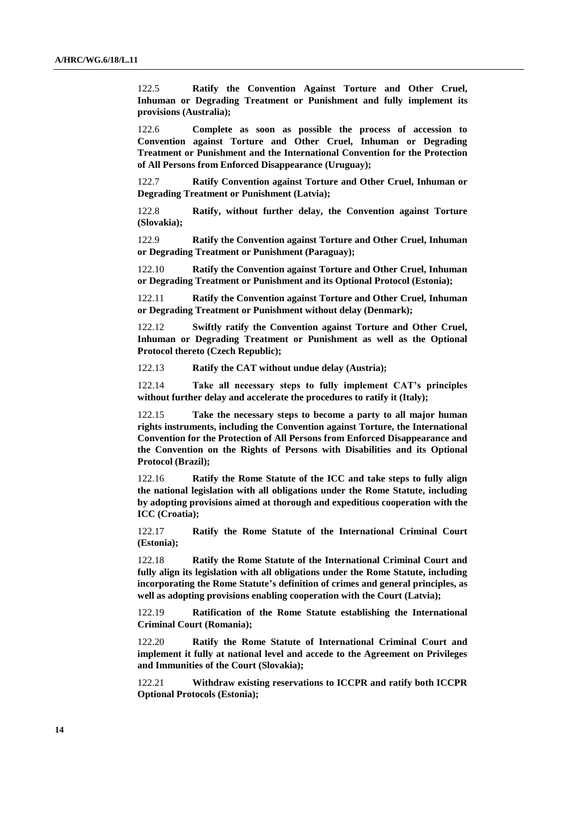122.5 **Ratify the Convention Against Torture and Other Cruel, Inhuman or Degrading Treatment or Punishment and fully implement its provisions (Australia);** 

122.6 **Complete as soon as possible the process of accession to Convention against Torture and Other Cruel, Inhuman or Degrading Treatment or Punishment and the International Convention for the Protection of All Persons from Enforced Disappearance (Uruguay);**

122.7 **Ratify Convention against Torture and Other Cruel, Inhuman or Degrading Treatment or Punishment (Latvia);**

122.8 **Ratify, without further delay, the Convention against Torture (Slovakia);**

122.9 **Ratify the Convention against Torture and Other Cruel, Inhuman or Degrading Treatment or Punishment (Paraguay);**

122.10 **Ratify the Convention against Torture and Other Cruel, Inhuman or Degrading Treatment or Punishment and its Optional Protocol (Estonia);**

122.11 **Ratify the Convention against Torture and Other Cruel, Inhuman or Degrading Treatment or Punishment without delay (Denmark);**

122.12 **Swiftly ratify the Convention against Torture and Other Cruel, Inhuman or Degrading Treatment or Punishment as well as the Optional Protocol thereto (Czech Republic);**

122.13 **Ratify the CAT without undue delay (Austria);**

122.14 **Take all necessary steps to fully implement CAT's principles without further delay and accelerate the procedures to ratify it (Italy);**

122.15 **Take the necessary steps to become a party to all major human rights instruments, including the Convention against Torture, the International Convention for the Protection of All Persons from Enforced Disappearance and the Convention on the Rights of Persons with Disabilities and its Optional Protocol (Brazil);**

122.16 **Ratify the Rome Statute of the ICC and take steps to fully align the national legislation with all obligations under the Rome Statute, including by adopting provisions aimed at thorough and expeditious cooperation with the ICC (Croatia);**

122.17 **Ratify the Rome Statute of the International Criminal Court (Estonia);**

122.18 **Ratify the Rome Statute of the International Criminal Court and fully align its legislation with all obligations under the Rome Statute, including incorporating the Rome Statute's definition of crimes and general principles, as well as adopting provisions enabling cooperation with the Court (Latvia);** 

122.19 **Ratification of the Rome Statute establishing the International Criminal Court (Romania);**

122.20 **Ratify the Rome Statute of International Criminal Court and implement it fully at national level and accede to the Agreement on Privileges and Immunities of the Court (Slovakia);**

122.21 **Withdraw existing reservations to ICCPR and ratify both ICCPR Optional Protocols (Estonia);**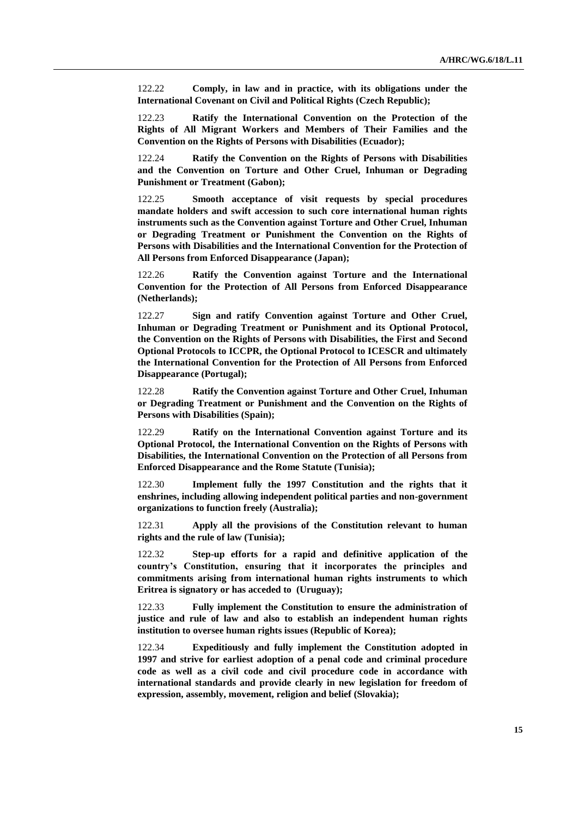122.22 **Comply, in law and in practice, with its obligations under the International Covenant on Civil and Political Rights (Czech Republic);**

122.23 **Ratify the International Convention on the Protection of the Rights of All Migrant Workers and Members of Their Families and the Convention on the Rights of Persons with Disabilities (Ecuador);**

122.24 **Ratify the Convention on the Rights of Persons with Disabilities and the Convention on Torture and Other Cruel, Inhuman or Degrading Punishment or Treatment (Gabon);**

122.25 **Smooth acceptance of visit requests by special procedures mandate holders and swift accession to such core international human rights instruments such as the Convention against Torture and Other Cruel, Inhuman or Degrading Treatment or Punishment the Convention on the Rights of Persons with Disabilities and the International Convention for the Protection of All Persons from Enforced Disappearance (Japan);**

122.26 **Ratify the Convention against Torture and the International Convention for the Protection of All Persons from Enforced Disappearance (Netherlands);**

122.27 **Sign and ratify Convention against Torture and Other Cruel, Inhuman or Degrading Treatment or Punishment and its Optional Protocol, the Convention on the Rights of Persons with Disabilities, the First and Second Optional Protocols to ICCPR, the Optional Protocol to ICESCR and ultimately the International Convention for the Protection of All Persons from Enforced Disappearance (Portugal);**

122.28 **Ratify the Convention against Torture and Other Cruel, Inhuman or Degrading Treatment or Punishment and the Convention on the Rights of Persons with Disabilities (Spain);**

122.29 **Ratify on the International Convention against Torture and its Optional Protocol, the International Convention on the Rights of Persons with Disabilities, the International Convention on the Protection of all Persons from Enforced Disappearance and the Rome Statute (Tunisia);**

122.30 **Implement fully the 1997 Constitution and the rights that it enshrines, including allowing independent political parties and non-government organizations to function freely (Australia);** 

122.31 **Apply all the provisions of the Constitution relevant to human rights and the rule of law (Tunisia);**

122.32 **Step-up efforts for a rapid and definitive application of the country's Constitution, ensuring that it incorporates the principles and commitments arising from international human rights instruments to which Eritrea is signatory or has acceded to (Uruguay);**

122.33 **Fully implement the Constitution to ensure the administration of justice and rule of law and also to establish an independent human rights institution to oversee human rights issues (Republic of Korea);**

122.34 **Expeditiously and fully implement the Constitution adopted in 1997 and strive for earliest adoption of a penal code and criminal procedure code as well as a civil code and civil procedure code in accordance with international standards and provide clearly in new legislation for freedom of expression, assembly, movement, religion and belief (Slovakia);**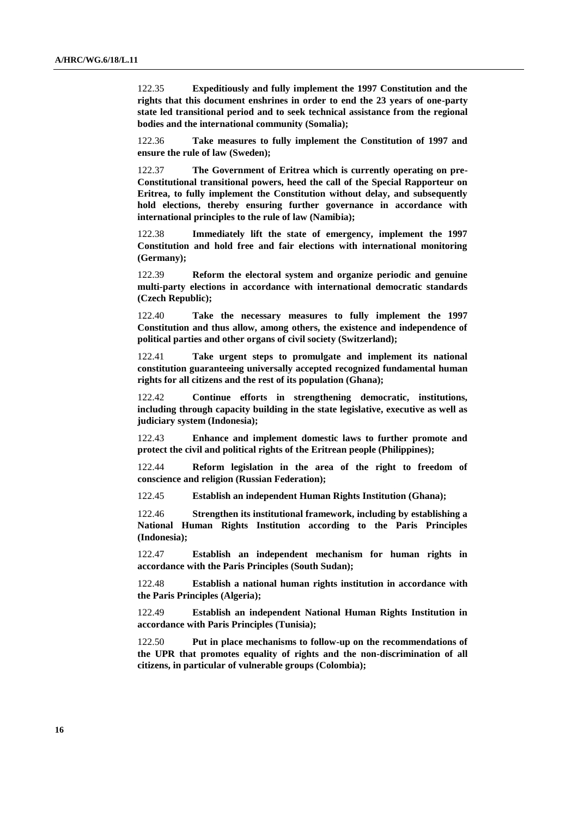122.35 **Expeditiously and fully implement the 1997 Constitution and the rights that this document enshrines in order to end the 23 years of one-party state led transitional period and to seek technical assistance from the regional bodies and the international community (Somalia);**

122.36 **Take measures to fully implement the Constitution of 1997 and ensure the rule of law (Sweden);**

122.37 **The Government of Eritrea which is currently operating on pre-Constitutional transitional powers, heed the call of the Special Rapporteur on Eritrea, to fully implement the Constitution without delay, and subsequently hold elections, thereby ensuring further governance in accordance with international principles to the rule of law (Namibia);**

122.38 **Immediately lift the state of emergency, implement the 1997 Constitution and hold free and fair elections with international monitoring (Germany);**

122.39 **Reform the electoral system and organize periodic and genuine multi-party elections in accordance with international democratic standards (Czech Republic);**

122.40 **Take the necessary measures to fully implement the 1997 Constitution and thus allow, among others, the existence and independence of political parties and other organs of civil society (Switzerland);**

122.41 **Take urgent steps to promulgate and implement its national constitution guaranteeing universally accepted recognized fundamental human rights for all citizens and the rest of its population (Ghana);**

122.42 **Continue efforts in strengthening democratic, institutions, including through capacity building in the state legislative, executive as well as judiciary system (Indonesia);**

122.43 **Enhance and implement domestic laws to further promote and protect the civil and political rights of the Eritrean people (Philippines);**

122.44 **Reform legislation in the area of the right to freedom of conscience and religion (Russian Federation);**

122.45 **Establish an independent Human Rights Institution (Ghana);**

122.46 **Strengthen its institutional framework, including by establishing a National Human Rights Institution according to the Paris Principles (Indonesia);**

122.47 **Establish an independent mechanism for human rights in accordance with the Paris Principles (South Sudan);**

122.48 **Establish a national human rights institution in accordance with the Paris Principles (Algeria);**

122.49 **Establish an independent National Human Rights Institution in accordance with Paris Principles (Tunisia);**

122.50 **Put in place mechanisms to follow-up on the recommendations of the UPR that promotes equality of rights and the non-discrimination of all citizens, in particular of vulnerable groups (Colombia);**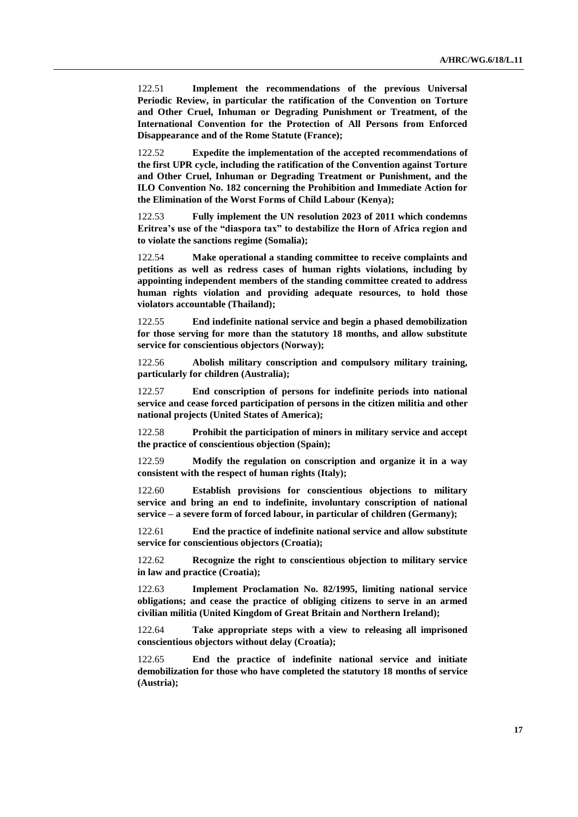122.51 **Implement the recommendations of the previous Universal Periodic Review, in particular the ratification of the Convention on Torture and Other Cruel, Inhuman or Degrading Punishment or Treatment, of the International Convention for the Protection of All Persons from Enforced Disappearance and of the Rome Statute (France);**

122.52 **Expedite the implementation of the accepted recommendations of the first UPR cycle, including the ratification of the Convention against Torture and Other Cruel, Inhuman or Degrading Treatment or Punishment, and the ILO Convention No. 182 concerning the Prohibition and Immediate Action for the Elimination of the Worst Forms of Child Labour (Kenya);**

122.53 **Fully implement the UN resolution 2023 of 2011 which condemns Eritrea's use of the "diaspora tax" to destabilize the Horn of Africa region and to violate the sanctions regime (Somalia);**

122.54 **Make operational a standing committee to receive complaints and petitions as well as redress cases of human rights violations, including by appointing independent members of the standing committee created to address human rights violation and providing adequate resources, to hold those violators accountable (Thailand);**

122.55 **End indefinite national service and begin a phased demobilization for those serving for more than the statutory 18 months, and allow substitute service for conscientious objectors (Norway);**

122.56 **Abolish military conscription and compulsory military training, particularly for children (Australia);**

122.57 **End conscription of persons for indefinite periods into national service and cease forced participation of persons in the citizen militia and other national projects (United States of America);**

122.58 **Prohibit the participation of minors in military service and accept the practice of conscientious objection (Spain);**

122.59 **Modify the regulation on conscription and organize it in a way consistent with the respect of human rights (Italy);**

122.60 **Establish provisions for conscientious objections to military service and bring an end to indefinite, involuntary conscription of national service – a severe form of forced labour, in particular of children (Germany);**

122.61 **End the practice of indefinite national service and allow substitute service for conscientious objectors (Croatia);**

122.62 **Recognize the right to conscientious objection to military service in law and practice (Croatia);**

122.63 **Implement Proclamation No. 82/1995, limiting national service obligations; and cease the practice of obliging citizens to serve in an armed civilian militia (United Kingdom of Great Britain and Northern Ireland);**

122.64 **Take appropriate steps with a view to releasing all imprisoned conscientious objectors without delay (Croatia);**

122.65 **End the practice of indefinite national service and initiate demobilization for those who have completed the statutory 18 months of service (Austria);**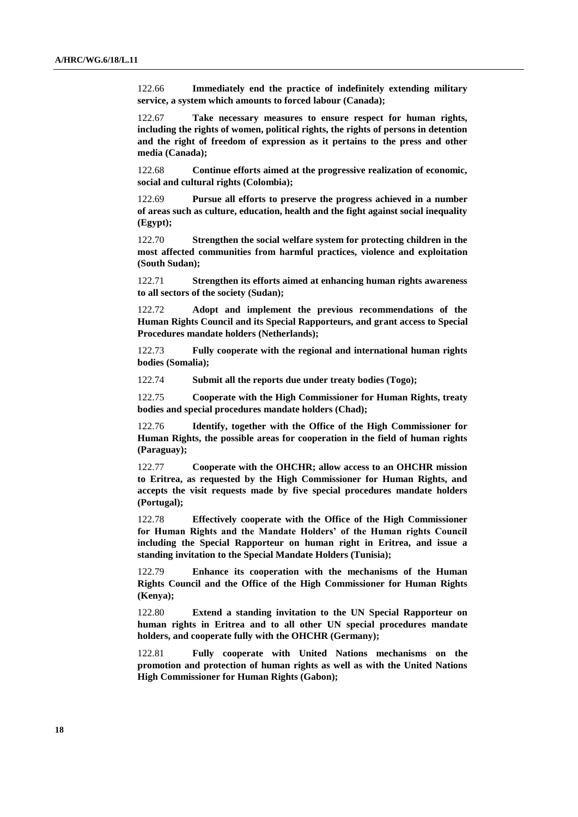122.66 **Immediately end the practice of indefinitely extending military service, a system which amounts to forced labour (Canada);**

122.67 **Take necessary measures to ensure respect for human rights, including the rights of women, political rights, the rights of persons in detention and the right of freedom of expression as it pertains to the press and other media (Canada);**

122.68 **Continue efforts aimed at the progressive realization of economic, social and cultural rights (Colombia);**

122.69 **Pursue all efforts to preserve the progress achieved in a number of areas such as culture, education, health and the fight against social inequality (Egypt);**

122.70 **Strengthen the social welfare system for protecting children in the most affected communities from harmful practices, violence and exploitation (South Sudan);**

122.71 **Strengthen its efforts aimed at enhancing human rights awareness to all sectors of the society (Sudan);**

122.72 **Adopt and implement the previous recommendations of the Human Rights Council and its Special Rapporteurs, and grant access to Special Procedures mandate holders (Netherlands);**

122.73 **Fully cooperate with the regional and international human rights bodies (Somalia);**

122.74 **Submit all the reports due under treaty bodies (Togo);**

122.75 **Cooperate with the High Commissioner for Human Rights, treaty bodies and special procedures mandate holders (Chad);**

122.76 **Identify, together with the Office of the High Commissioner for Human Rights, the possible areas for cooperation in the field of human rights (Paraguay);**

122.77 **Cooperate with the OHCHR; allow access to an OHCHR mission to Eritrea, as requested by the High Commissioner for Human Rights, and accepts the visit requests made by five special procedures mandate holders (Portugal);**

122.78 **Effectively cooperate with the Office of the High Commissioner for Human Rights and the Mandate Holders' of the Human rights Council including the Special Rapporteur on human right in Eritrea, and issue a standing invitation to the Special Mandate Holders (Tunisia);**

122.79 **Enhance its cooperation with the mechanisms of the Human Rights Council and the Office of the High Commissioner for Human Rights (Kenya);**

122.80 **Extend a standing invitation to the UN Special Rapporteur on human rights in Eritrea and to all other UN special procedures mandate holders, and cooperate fully with the OHCHR (Germany);**

122.81 **Fully cooperate with United Nations mechanisms on the promotion and protection of human rights as well as with the United Nations High Commissioner for Human Rights (Gabon);**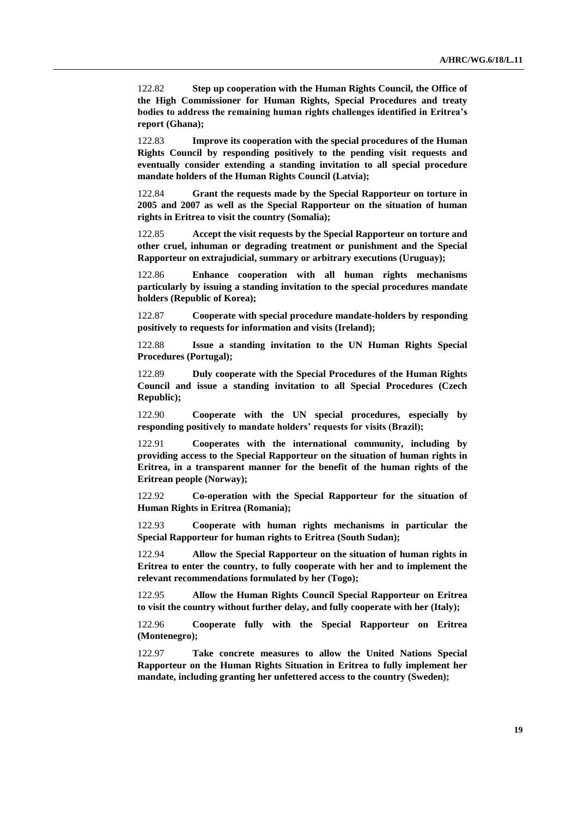122.82 **Step up cooperation with the Human Rights Council, the Office of the High Commissioner for Human Rights, Special Procedures and treaty bodies to address the remaining human rights challenges identified in Eritrea's report (Ghana);**

122.83 **Improve its cooperation with the special procedures of the Human Rights Council by responding positively to the pending visit requests and eventually consider extending a standing invitation to all special procedure mandate holders of the Human Rights Council (Latvia);**

122.84 **Grant the requests made by the Special Rapporteur on torture in 2005 and 2007 as well as the Special Rapporteur on the situation of human rights in Eritrea to visit the country (Somalia);**

122.85 **Accept the visit requests by the Special Rapporteur on torture and other cruel, inhuman or degrading treatment or punishment and the Special Rapporteur on extrajudicial, summary or arbitrary executions (Uruguay);**

122.86 **Enhance cooperation with all human rights mechanisms particularly by issuing a standing invitation to the special procedures mandate holders (Republic of Korea);**

122.87 **Cooperate with special procedure mandate-holders by responding positively to requests for information and visits (Ireland);**

122.88 **Issue a standing invitation to the UN Human Rights Special Procedures (Portugal);**

122.89 **Duly cooperate with the Special Procedures of the Human Rights Council and issue a standing invitation to all Special Procedures (Czech Republic);**

122.90 **Cooperate with the UN special procedures, especially by responding positively to mandate holders' requests for visits (Brazil);**

122.91 **Cooperates with the international community, including by providing access to the Special Rapporteur on the situation of human rights in Eritrea, in a transparent manner for the benefit of the human rights of the Eritrean people (Norway);**

122.92 **Co-operation with the Special Rapporteur for the situation of Human Rights in Eritrea (Romania);**

122.93 **Cooperate with human rights mechanisms in particular the Special Rapporteur for human rights to Eritrea (South Sudan);**

122.94 **Allow the Special Rapporteur on the situation of human rights in Eritrea to enter the country, to fully cooperate with her and to implement the relevant recommendations formulated by her (Togo);**

122.95 **Allow the Human Rights Council Special Rapporteur on Eritrea to visit the country without further delay, and fully cooperate with her (Italy);**

122.96 **Cooperate fully with the Special Rapporteur on Eritrea (Montenegro);**

122.97 **Take concrete measures to allow the United Nations Special Rapporteur on the Human Rights Situation in Eritrea to fully implement her mandate, including granting her unfettered access to the country (Sweden);**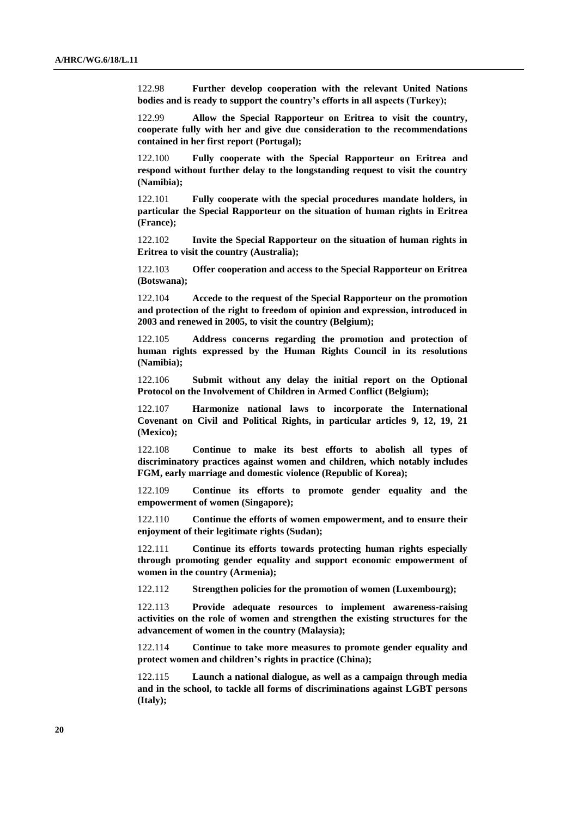122.98 **Further develop cooperation with the relevant United Nations bodies and is ready to support the country's efforts in all aspects (Turkey);** 

122.99 **Allow the Special Rapporteur on Eritrea to visit the country, cooperate fully with her and give due consideration to the recommendations contained in her first report (Portugal);**

122.100 **Fully cooperate with the Special Rapporteur on Eritrea and respond without further delay to the longstanding request to visit the country (Namibia);**

122.101 **Fully cooperate with the special procedures mandate holders, in particular the Special Rapporteur on the situation of human rights in Eritrea (France);**

122.102 **Invite the Special Rapporteur on the situation of human rights in Eritrea to visit the country (Australia);**

122.103 **Offer cooperation and access to the Special Rapporteur on Eritrea (Botswana);**

122.104 **Accede to the request of the Special Rapporteur on the promotion and protection of the right to freedom of opinion and expression, introduced in 2003 and renewed in 2005, to visit the country (Belgium);**

122.105 **Address concerns regarding the promotion and protection of human rights expressed by the Human Rights Council in its resolutions (Namibia);**

122.106 **Submit without any delay the initial report on the Optional Protocol on the Involvement of Children in Armed Conflict (Belgium);** 

122.107 **Harmonize national laws to incorporate the International Covenant on Civil and Political Rights, in particular articles 9, 12, 19, 21 (Mexico);**

122.108 **Continue to make its best efforts to abolish all types of discriminatory practices against women and children, which notably includes FGM, early marriage and domestic violence (Republic of Korea);**

122.109 **Continue its efforts to promote gender equality and the empowerment of women (Singapore);** 

122.110 **Continue the efforts of women empowerment, and to ensure their enjoyment of their legitimate rights (Sudan);**

122.111 **Continue its efforts towards protecting human rights especially through promoting gender equality and support economic empowerment of women in the country (Armenia);**

122.112 **Strengthen policies for the promotion of women (Luxembourg);**

122.113 **Provide adequate resources to implement awareness-raising activities on the role of women and strengthen the existing structures for the advancement of women in the country (Malaysia);**

122.114 **Continue to take more measures to promote gender equality and protect women and children's rights in practice (China);**

122.115 **Launch a national dialogue, as well as a campaign through media and in the school, to tackle all forms of discriminations against LGBT persons (Italy);**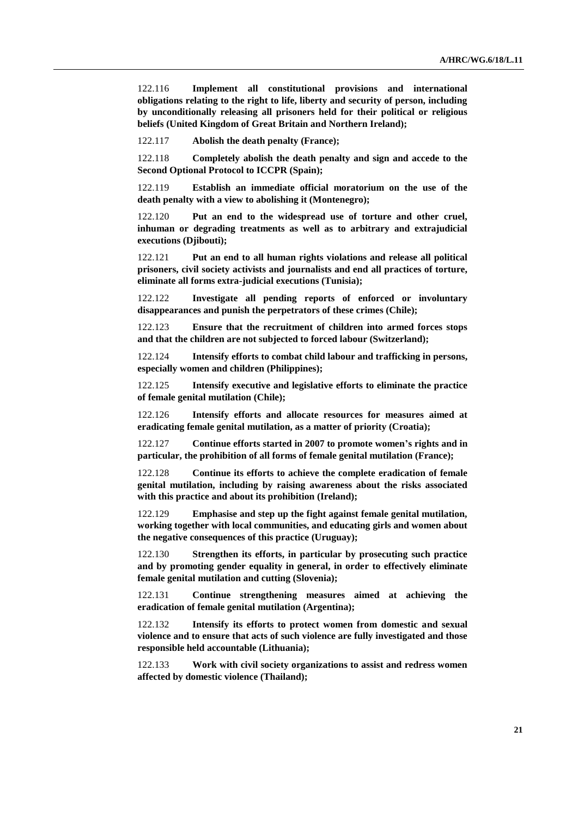122.116 **Implement all constitutional provisions and international obligations relating to the right to life, liberty and security of person, including by unconditionally releasing all prisoners held for their political or religious beliefs (United Kingdom of Great Britain and Northern Ireland);**

122.117 **Abolish the death penalty (France);**

122.118 **Completely abolish the death penalty and sign and accede to the Second Optional Protocol to ICCPR (Spain);**

122.119 **Establish an immediate official moratorium on the use of the death penalty with a view to abolishing it (Montenegro);**

122.120 **Put an end to the widespread use of torture and other cruel, inhuman or degrading treatments as well as to arbitrary and extrajudicial executions (Djibouti);**

122.121 **Put an end to all human rights violations and release all political prisoners, civil society activists and journalists and end all practices of torture, eliminate all forms extra-judicial executions (Tunisia);**

122.122 **Investigate all pending reports of enforced or involuntary disappearances and punish the perpetrators of these crimes (Chile);**

122.123 **Ensure that the recruitment of children into armed forces stops and that the children are not subjected to forced labour (Switzerland);**

122.124 **Intensify efforts to combat child labour and trafficking in persons, especially women and children (Philippines);**

122.125 **Intensify executive and legislative efforts to eliminate the practice of female genital mutilation (Chile);**

122.126 **Intensify efforts and allocate resources for measures aimed at eradicating female genital mutilation, as a matter of priority (Croatia);**

122.127 **Continue efforts started in 2007 to promote women's rights and in particular, the prohibition of all forms of female genital mutilation (France);**

122.128 **Continue its efforts to achieve the complete eradication of female genital mutilation, including by raising awareness about the risks associated with this practice and about its prohibition (Ireland);**

122.129 **Emphasise and step up the fight against female genital mutilation, working together with local communities, and educating girls and women about the negative consequences of this practice (Uruguay);**

122.130 **Strengthen its efforts, in particular by prosecuting such practice and by promoting gender equality in general, in order to effectively eliminate female genital mutilation and cutting (Slovenia);**

122.131 **Continue strengthening measures aimed at achieving the eradication of female genital mutilation (Argentina);**

122.132 **Intensify its efforts to protect women from domestic and sexual violence and to ensure that acts of such violence are fully investigated and those responsible held accountable (Lithuania);**

122.133 **Work with civil society organizations to assist and redress women affected by domestic violence (Thailand);**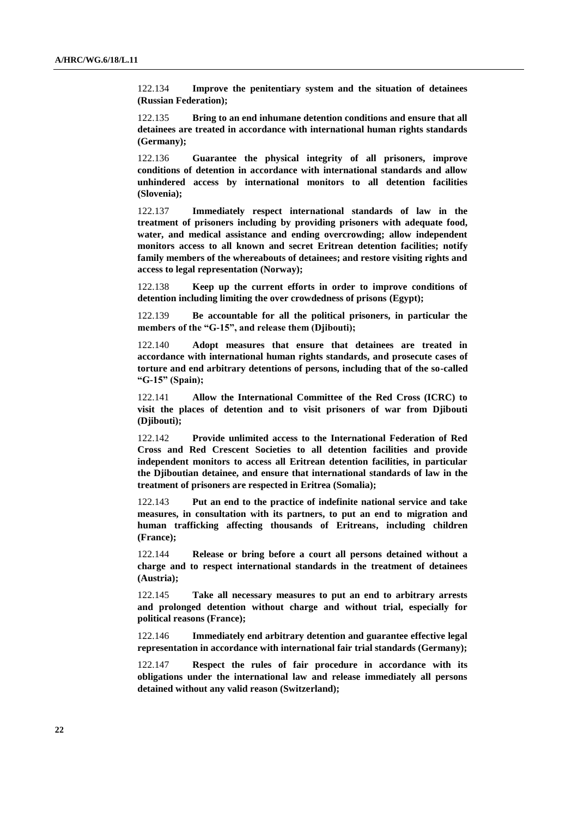122.134 **Improve the penitentiary system and the situation of detainees (Russian Federation);**

122.135 **Bring to an end inhumane detention conditions and ensure that all detainees are treated in accordance with international human rights standards (Germany);**

122.136 **Guarantee the physical integrity of all prisoners, improve conditions of detention in accordance with international standards and allow unhindered access by international monitors to all detention facilities (Slovenia);**

122.137 **Immediately respect international standards of law in the treatment of prisoners including by providing prisoners with adequate food, water, and medical assistance and ending overcrowding; allow independent monitors access to all known and secret Eritrean detention facilities; notify family members of the whereabouts of detainees; and restore visiting rights and access to legal representation (Norway);**

122.138 **Keep up the current efforts in order to improve conditions of detention including limiting the over crowdedness of prisons (Egypt);**

122.139 **Be accountable for all the political prisoners, in particular the members of the "G-15", and release them (Djibouti);**

122.140 **Adopt measures that ensure that detainees are treated in accordance with international human rights standards, and prosecute cases of torture and end arbitrary detentions of persons, including that of the so-called "G-15" (Spain);**

122.141 **Allow the International Committee of the Red Cross (ICRC) to visit the places of detention and to visit prisoners of war from Djibouti (Djibouti);**

122.142 **Provide unlimited access to the International Federation of Red Cross and Red Crescent Societies to all detention facilities and provide independent monitors to access all Eritrean detention facilities, in particular the Djiboutian detainee, and ensure that international standards of law in the treatment of prisoners are respected in Eritrea (Somalia);**

122.143 **Put an end to the practice of indefinite national service and take measures, in consultation with its partners, to put an end to migration and human trafficking affecting thousands of Eritreans, including children (France);**

122.144 **Release or bring before a court all persons detained without a charge and to respect international standards in the treatment of detainees (Austria);**

122.145 **Take all necessary measures to put an end to arbitrary arrests and prolonged detention without charge and without trial, especially for political reasons (France);**

122.146 **Immediately end arbitrary detention and guarantee effective legal representation in accordance with international fair trial standards (Germany);**

122.147 **Respect the rules of fair procedure in accordance with its obligations under the international law and release immediately all persons detained without any valid reason (Switzerland);**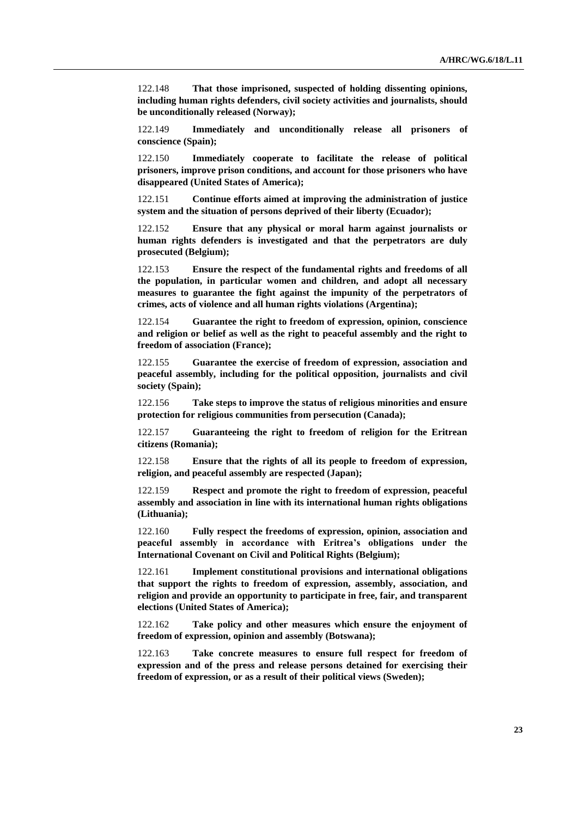122.148 **That those imprisoned, suspected of holding dissenting opinions, including human rights defenders, civil society activities and journalists, should be unconditionally released (Norway);**

122.149 **Immediately and unconditionally release all prisoners of conscience (Spain);** 

122.150 **Immediately cooperate to facilitate the release of political prisoners, improve prison conditions, and account for those prisoners who have disappeared (United States of America);**

122.151 **Continue efforts aimed at improving the administration of justice system and the situation of persons deprived of their liberty (Ecuador);**

122.152 **Ensure that any physical or moral harm against journalists or human rights defenders is investigated and that the perpetrators are duly prosecuted (Belgium);**

122.153 **Ensure the respect of the fundamental rights and freedoms of all the population, in particular women and children, and adopt all necessary measures to guarantee the fight against the impunity of the perpetrators of crimes, acts of violence and all human rights violations (Argentina);**

122.154 **Guarantee the right to freedom of expression, opinion, conscience and religion or belief as well as the right to peaceful assembly and the right to freedom of association (France);**

122.155 **Guarantee the exercise of freedom of expression, association and peaceful assembly, including for the political opposition, journalists and civil society (Spain);**

122.156 **Take steps to improve the status of religious minorities and ensure protection for religious communities from persecution (Canada);**

122.157 **Guaranteeing the right to freedom of religion for the Eritrean citizens (Romania);**

122.158 **Ensure that the rights of all its people to freedom of expression, religion, and peaceful assembly are respected (Japan);**

122.159 **Respect and promote the right to freedom of expression, peaceful assembly and association in line with its international human rights obligations (Lithuania);**

122.160 **Fully respect the freedoms of expression, opinion, association and peaceful assembly in accordance with Eritrea's obligations under the International Covenant on Civil and Political Rights (Belgium);**

122.161 **Implement constitutional provisions and international obligations that support the rights to freedom of expression, assembly, association, and religion and provide an opportunity to participate in free, fair, and transparent elections (United States of America);**

122.162 **Take policy and other measures which ensure the enjoyment of freedom of expression, opinion and assembly (Botswana);**

122.163 **Take concrete measures to ensure full respect for freedom of expression and of the press and release persons detained for exercising their freedom of expression, or as a result of their political views (Sweden);**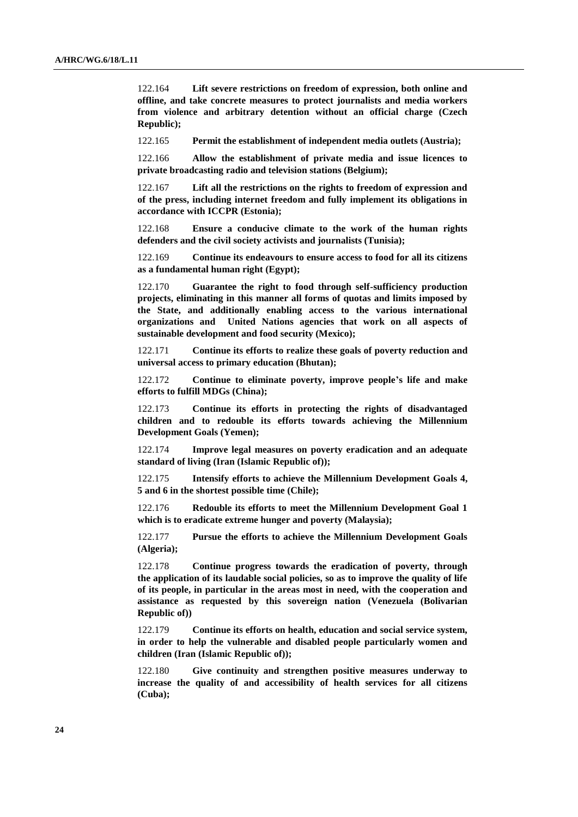122.164 **Lift severe restrictions on freedom of expression, both online and offline, and take concrete measures to protect journalists and media workers from violence and arbitrary detention without an official charge (Czech Republic);**

122.165 **Permit the establishment of independent media outlets (Austria);**

122.166 **Allow the establishment of private media and issue licences to private broadcasting radio and television stations (Belgium);**

122.167 **Lift all the restrictions on the rights to freedom of expression and of the press, including internet freedom and fully implement its obligations in accordance with ICCPR (Estonia);**

122.168 **Ensure a conducive climate to the work of the human rights defenders and the civil society activists and journalists (Tunisia);** 

122.169 **Continue its endeavours to ensure access to food for all its citizens as a fundamental human right (Egypt);**

122.170 **Guarantee the right to food through self-sufficiency production projects, eliminating in this manner all forms of quotas and limits imposed by the State, and additionally enabling access to the various international organizations and United Nations agencies that work on all aspects of sustainable development and food security (Mexico);**

122.171 **Continue its efforts to realize these goals of poverty reduction and universal access to primary education (Bhutan);**

122.172 **Continue to eliminate poverty, improve people's life and make efforts to fulfill MDGs (China);**

122.173 **Continue its efforts in protecting the rights of disadvantaged children and to redouble its efforts towards achieving the Millennium Development Goals (Yemen);**

122.174 **Improve legal measures on poverty eradication and an adequate standard of living (Iran (Islamic Republic of));**

122.175 **Intensify efforts to achieve the Millennium Development Goals 4, 5 and 6 in the shortest possible time (Chile);**

122.176 **Redouble its efforts to meet the Millennium Development Goal 1 which is to eradicate extreme hunger and poverty (Malaysia);**

122.177 **Pursue the efforts to achieve the Millennium Development Goals (Algeria);**

122.178 **Continue progress towards the eradication of poverty, through the application of its laudable social policies, so as to improve the quality of life of its people, in particular in the areas most in need, with the cooperation and assistance as requested by this sovereign nation (Venezuela (Bolivarian Republic of))**

122.179 **Continue its efforts on health, education and social service system, in order to help the vulnerable and disabled people particularly women and children (Iran (Islamic Republic of));**

122.180 **Give continuity and strengthen positive measures underway to increase the quality of and accessibility of health services for all citizens (Cuba);**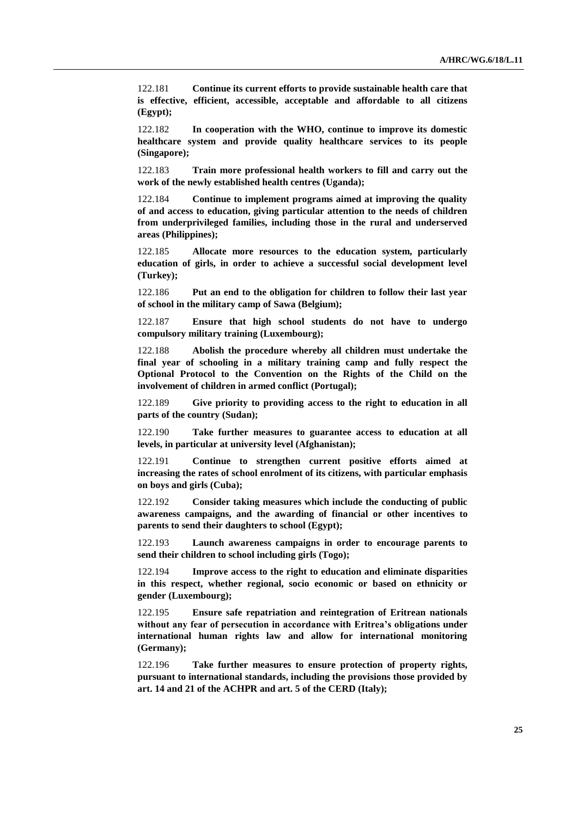122.181 **Continue its current efforts to provide sustainable health care that is effective, efficient, accessible, acceptable and affordable to all citizens (Egypt);**

122.182 **In cooperation with the WHO, continue to improve its domestic healthcare system and provide quality healthcare services to its people (Singapore);**

122.183 **Train more professional health workers to fill and carry out the work of the newly established health centres (Uganda);**

122.184 **Continue to implement programs aimed at improving the quality of and access to education, giving particular attention to the needs of children from underprivileged families, including those in the rural and underserved areas (Philippines);**

122.185 **Allocate more resources to the education system, particularly education of girls, in order to achieve a successful social development level (Turkey);**

122.186 **Put an end to the obligation for children to follow their last year of school in the military camp of Sawa (Belgium);** 

122.187 **Ensure that high school students do not have to undergo compulsory military training (Luxembourg);**

122.188 **Abolish the procedure whereby all children must undertake the final year of schooling in a military training camp and fully respect the Optional Protocol to the Convention on the Rights of the Child on the involvement of children in armed conflict (Portugal);**

122.189 **Give priority to providing access to the right to education in all parts of the country (Sudan);**

122.190 **Take further measures to guarantee access to education at all levels, in particular at university level (Afghanistan);**

122.191 **Continue to strengthen current positive efforts aimed at increasing the rates of school enrolment of its citizens, with particular emphasis on boys and girls (Cuba);**

122.192 **Consider taking measures which include the conducting of public awareness campaigns, and the awarding of financial or other incentives to parents to send their daughters to school (Egypt);**

122.193 **Launch awareness campaigns in order to encourage parents to send their children to school including girls (Togo);**

122.194 **Improve access to the right to education and eliminate disparities in this respect, whether regional, socio economic or based on ethnicity or gender (Luxembourg);**

122.195 **Ensure safe repatriation and reintegration of Eritrean nationals without any fear of persecution in accordance with Eritrea's obligations under international human rights law and allow for international monitoring (Germany);**

122.196 **Take further measures to ensure protection of property rights, pursuant to international standards, including the provisions those provided by art. 14 and 21 of the ACHPR and art. 5 of the CERD (Italy);**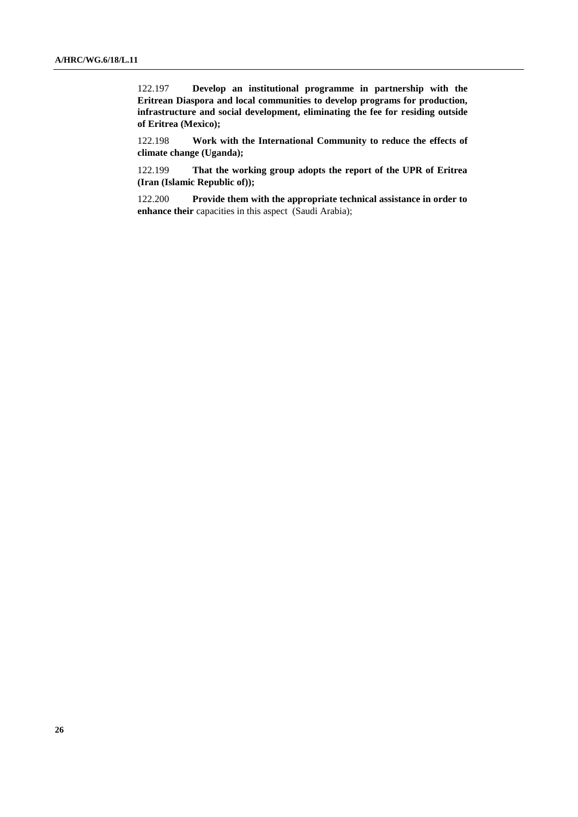122.197 **Develop an institutional programme in partnership with the Eritrean Diaspora and local communities to develop programs for production, infrastructure and social development, eliminating the fee for residing outside of Eritrea (Mexico);** 

122.198 **Work with the International Community to reduce the effects of climate change (Uganda);**

122.199 **That the working group adopts the report of the UPR of Eritrea (Iran (Islamic Republic of));**

122.200 **Provide them with the appropriate technical assistance in order to enhance their** capacities in this aspect (Saudi Arabia);